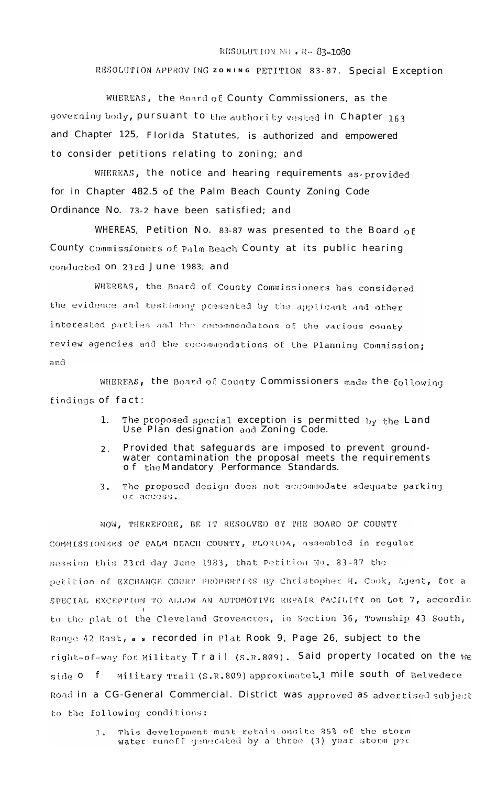## RESOLUTION NO . R- 83-1080

RESOLUTION APPROVING ZONING PETITION 83-87, Special Exception

WHEREAS, the Board of County Commissioners, as the governing body, pursuant to the authority vested in Chapter 163 and Chapter 125, Florida Statutes, is authorized and empowered to consider petitions relating to zoning; and

WHEREAS, the notice and hearing requirements as provided for in Chapter 482.5 of the Palm Beach County Zoning Code Ordinance No. 73-2 have been satisfied; and

WHEREAS, Petition No. 83-87 was presented to the Board of County Commissioners of Palm Beach County at its public hearing conducted on 23rd June 1983; and

WHEREAS, the Board of County Commissioners has considered the evidence and testimony presented by the applicant and other interested parties and the recommendatons of the various county review agencies and the recommendations of the Planning Commission: and

WHEREAS, the Board of County Commissioners made the following findings of fact:

- The proposed special exception is permitted by the Land<br>Use Plan designation and Zoning Code. 1.
- Provided that safeguards are imposed to prevent ground- $2$ . water contamination the proposal meets the requirements<br>of the Mandatory Performance Standards.
- The proposed design does not accommodate adequate parking  $3.$ or access.

NOW, THEREFORE, BE IT RESOLVED BY THE BOARD OF COUNTY COMMISSIONERS OF PALM BEACH COUNTY, FLORIDA, assembled in regular session this 23rd day June 1983, that Petition No. 83-87 the petition of EXCHANGE COURT PROPERTIES By Christopher H. Cook, Agent, for a SPECIAL EXCEPTION TO ALLOW AN AUTOMOTIVE REPAIR FACILITY on Lot 7, accordin to the plat of the Cleveland Groveacres, in Section 36, Township 43 South, Range 42 East, a s recorded in Plat Rook 9, Page 26, subject to the right-of-way for Military Trail (S.R.809). Said property located on the we side 0 f Military Trail (S.R.809) approximatel.1 mile south of Belvedere Road in a CG-General Commercial. District was approved as advertised subject to the following conditions:

This development must retain onsite 35% of the storm  $1.6$ water runoff generated by a three (3) year storm per